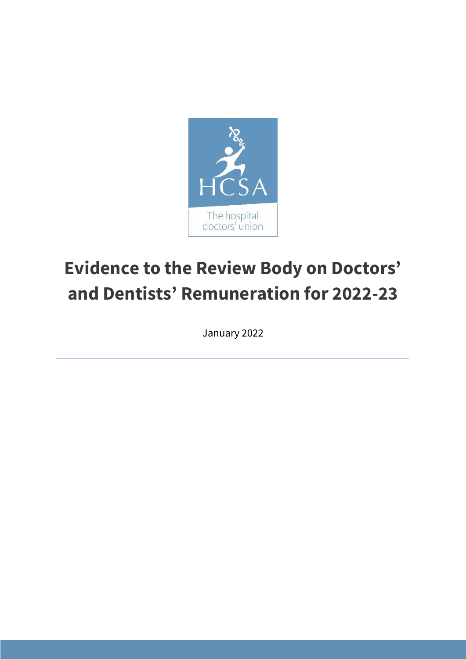

# **Evidence to the Review Body on Doctors' and Dentists' Remuneration for 2022-23**

January 2022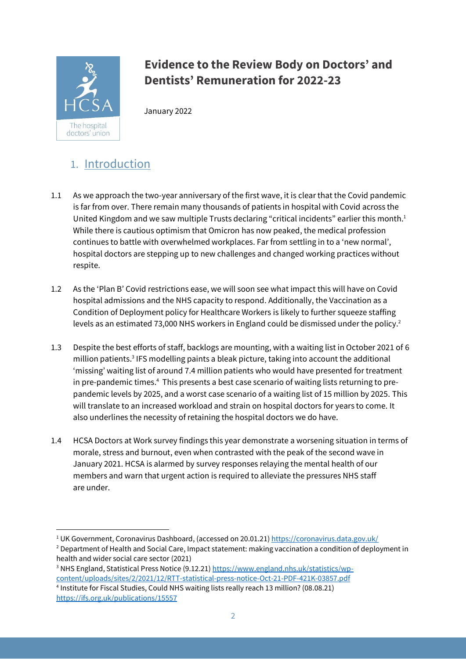

# **Evidence to the Review Body on Doctors' and Dentists' Remuneration for 2022-23**

January 2022

# 1. Introduction

- 1.1 As we approach the two-year anniversary of the first wave, it is clear that the Covid pandemic is far from over. There remain many thousands of patients in hospital with Covid across the United Kingdom and we saw multiple Trusts declaring "critical incidents" earlier this month.<sup>1</sup> While there is cautious optimism that Omicron has now peaked, the medical profession continues to battle with overwhelmed workplaces. Far from settling in to a 'new normal', hospital doctors are stepping up to new challenges and changed working practices without respite.
- 1.2 As the 'Plan B' Covid restrictions ease, we will soon see what impact this will have on Covid hospital admissions and the NHS capacity to respond. Additionally, the Vaccination as a Condition of Deployment policy for Healthcare Workers is likely to further squeeze staffing levels as an estimated 73,000 NHS workers in England could be dismissed under the policy.<sup>2</sup>
- 1.3 Despite the best efforts of staff, backlogs are mounting, with a waiting list in October 2021 of 6 million patients. <sup>3</sup> IFS modelling paints a bleak picture, taking into account the additional 'missing' waiting list of around 7.4 million patients who would have presented for treatment in pre-pandemic times.<sup>4</sup> This presents a best case scenario of waiting lists returning to prepandemic levels by 2025, and a worst case scenario of a waiting list of 15 million by 2025. This will translate to an increased workload and strain on hospital doctors for years to come. It also underlines the necessity of retaining the hospital doctors we do have.
- 1.4 HCSA Doctors at Work survey findings this year demonstrate a worsening situation in terms of morale, stress and burnout, even when contrasted with the peak of the second wave in January 2021. HCSA is alarmed by survey responses relaying the mental health of our members and warn that urgent action is required to alleviate the pressures NHS staff are under.

<sup>&</sup>lt;sup>1</sup> UK Government, Coronavirus Dashboard, (accessed on 20.01.21) <https://coronavirus.data.gov.uk/> <sup>2</sup> Department of Health and Social Care, Impact statement: making vaccination a condition of deployment in

health and wider social care sector (2021)<br><sup>3</sup> NHS England, Statistical Press Notice (9.12.21[\) https://www.england.nhs.uk/statistics/wp](https://www.england.nhs.uk/statistics/wp-content/uploads/sites/2/2021/12/RTT-statistical-press-notice-Oct-21-PDF-421K-03857.pdf)[content/uploads/sites/2/2021/12/RTT-statistical-press-notice-Oct-21-PDF-421K-03857.pdf](https://www.england.nhs.uk/statistics/wp-content/uploads/sites/2/2021/12/RTT-statistical-press-notice-Oct-21-PDF-421K-03857.pdf) <sup>4</sup> Institute for Fiscal Studies, Could NHS waiting lists really reach 13 million? (08.08.21) <https://ifs.org.uk/publications/15557>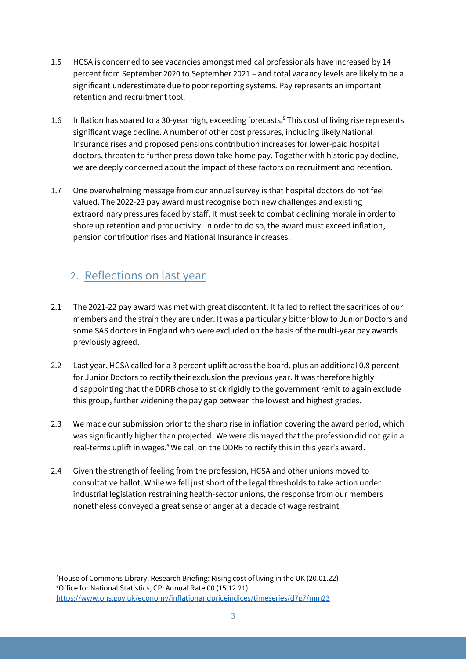- 1.5 HCSA is concerned to see vacancies amongst medical professionals have increased by 14 percent from September 2020 to September 2021 – and total vacancy levels are likely to be a significant underestimate due to poor reporting systems. Pay represents an important retention and recruitment tool.
- 1.6 Inflation has soared to a 30-year high, exceeding forecasts.<sup>5</sup> This cost of living rise represents significant wage decline. A number of other cost pressures, including likely National Insurance rises and proposed pensions contribution increases for lower-paid hospital doctors, threaten to further press down take-home pay. Together with historic pay decline, we are deeply concerned about the impact of these factors on recruitment and retention.
- 1.7 One overwhelming message from our annual survey is that hospital doctors do not feel valued. The 2022-23 pay award must recognise both new challenges and existing extraordinary pressures faced by staff. It must seek to combat declining morale in order to shore up retention and productivity. In order to do so, the award must exceed inflation, pension contribution rises and National Insurance increases.

### 2. Reflections on last year

- 2.1 The 2021-22 pay award was met with great discontent. It failed to reflect the sacrifices of our members and the strain they are under. It was a particularly bitter blow to Junior Doctors and some SAS doctors in England who were excluded on the basis of the multi-year pay awards previously agreed.
- 2.2 Last year, HCSA called for a 3 percent uplift across the board, plus an additional 0.8 percent for Junior Doctors to rectify their exclusion the previous year. It was therefore highly disappointing that the DDRB chose to stick rigidly to the government remit to again exclude this group, further widening the pay gap between the lowest and highest grades.
- 2.3 We made our submission prior to the sharp rise in inflation covering the award period, which was significantly higher than projected. We were dismayed that the profession did not gain a real-terms uplift in wages. <sup>6</sup> We call on the DDRB to rectify this in this year's award.
- 2.4 Given the strength of feeling from the profession, HCSA and other unions moved to consultative ballot. While we fell just short of the legal thresholds to take action under industrial legislation restraining health-sector unions, the response from our members nonetheless conveyed a great sense of anger at a decade of wage restraint.

<sup>5</sup>House of Commons Library, Research Briefing: Rising cost of living in the UK (20.01.22) 6 Office for National Statistics, CPI Annual Rate 00 (15.12.21) <https://www.ons.gov.uk/economy/inflationandpriceindices/timeseries/d7g7/mm23>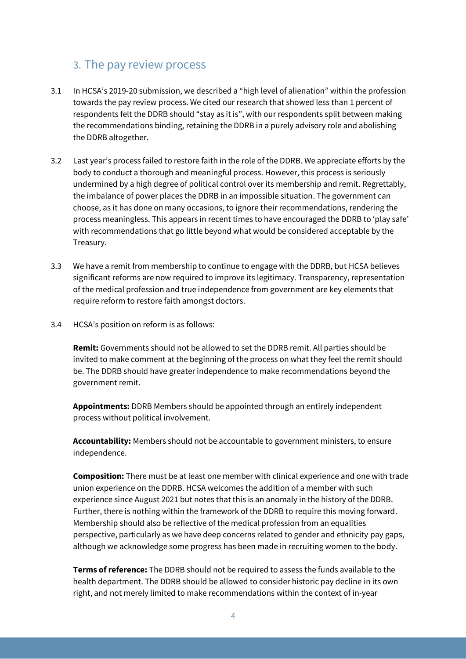### 3. The pay review process

- 3.1 In HCSA's 2019-20 submission, we described a "high level of alienation" within the profession towards the pay review process. We cited our research that showed less than 1 percent of respondents felt the DDRB should "stay as it is", with our respondents split between making the recommendations binding, retaining the DDRB in a purely advisory role and abolishing the DDRB altogether.
- 3.2 Last year's process failed to restore faith in the role of the DDRB. We appreciate efforts by the body to conduct a thorough and meaningful process. However, this process is seriously undermined by a high degree of political control over its membership and remit. Regrettably, the imbalance of power places the DDRB in an impossible situation. The government can choose, as it has done on many occasions, to ignore their recommendations, rendering the process meaningless. This appears in recent times to have encouraged the DDRB to 'play safe' with recommendations that go little beyond what would be considered acceptable by the Treasury.
- 3.3 We have a remit from membership to continue to engage with the DDRB, but HCSA believes significant reforms are now required to improve its legitimacy. Transparency, representation of the medical profession and true independence from government are key elements that require reform to restore faith amongst doctors.
- 3.4 HCSA's position on reform is as follows:

**Remit:** Governments should not be allowed to set the DDRB remit. All parties should be invited to make comment at the beginning of the process on what they feel the remit should be. The DDRB should have greater independence to make recommendations beyond the government remit.

**Appointments:** DDRB Members should be appointed through an entirely independent process without political involvement.

**Accountability:** Members should not be accountable to government ministers, to ensure independence.

**Composition:** There must be at least one member with clinical experience and one with trade union experience on the DDRB. HCSA welcomes the addition of a member with such experience since August 2021 but notes that this is an anomaly in the history of the DDRB. Further, there is nothing within the framework of the DDRB to require this moving forward. Membership should also be reflective of the medical profession from an equalities perspective, particularly as we have deep concerns related to gender and ethnicity pay gaps, although we acknowledge some progress has been made in recruiting women to the body.

**Terms of reference:** The DDRB should not be required to assess the funds available to the health department. The DDRB should be allowed to consider historic pay decline in its own right, and not merely limited to make recommendations within the context of in-year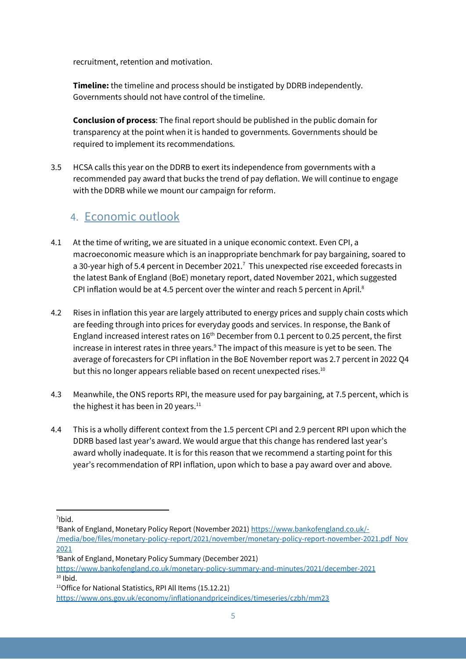recruitment, retention and motivation.

**Timeline:** the timeline and process should be instigated by DDRB independently. Governments should not have control of the timeline.

**Conclusion of process**: The final report should be published in the public domain for transparency at the point when it is handed to governments. Governments should be required to implement its recommendations.

3.5 HCSA calls this year on the DDRB to exert its independence from governments with a recommended pay award that bucks the trend of pay deflation. We will continue to engage with the DDRB while we mount our campaign for reform.

### 4. Economic outlook

- 4.1 At the time of writing, we are situated in a unique economic context. Even CPI, a macroeconomic measure which is an inappropriate benchmark for pay bargaining, soared to a 30-year high of 5.4 percent in December 2021.<sup>7</sup> This unexpected rise exceeded forecasts in the latest Bank of England (BoE) monetary report, dated November 2021, which suggested CPI inflation would be at 4.5 percent over the winter and reach 5 percent in April.<sup>8</sup>
- 4.2 Rises in inflation this year are largely attributed to energy prices and supply chain costs which are feeding through into prices for everyday goods and services. In response, the Bank of England increased interest rates on  $16<sup>th</sup>$  December from 0.1 percent to 0.25 percent, the first increase in interest rates in three years.<sup>9</sup> The impact of this measure is yet to be seen. The average of forecasters for CPI inflation in the BoE November report was 2.7 percent in 2022 Q4 but this no longer appears reliable based on recent unexpected rises.<sup>10</sup>
- 4.3 Meanwhile, the ONS reports RPI, the measure used for pay bargaining, at 7.5 percent, which is the highest it has been in 20 years.<sup>11</sup>
- 4.4 This is a wholly different context from the 1.5 percent CPI and 2.9 percent RPI upon which the DDRB based last year's award. We would argue that this change has rendered last year's award wholly inadequate. It is for this reason that we recommend a starting point for this year's recommendation of RPI inflation, upon which to base a pay award over and above.

<sup>7</sup> Ibid.

 $8$ Bank of England, Monetary Policy Report (November 2021) <u>[https://www.bankofengland.co.uk/-](https://www.bankofengland.co.uk/-/media/boe/files/monetary-policy-report/2021/november/monetary-policy-report-november-2021.pdf%20%20Nov%202021)</u> [/media/boe/files/monetary-policy-report/2021/november/monetary-policy-report-november-2021.pdf Nov](https://www.bankofengland.co.uk/-/media/boe/files/monetary-policy-report/2021/november/monetary-policy-report-november-2021.pdf%20%20Nov%202021)  [2021](https://www.bankofengland.co.uk/-/media/boe/files/monetary-policy-report/2021/november/monetary-policy-report-november-2021.pdf%20%20Nov%202021)

<sup>9</sup> Bank of England, Monetary Policy Summary (December 2021)

<https://www.bankofengland.co.uk/monetary-policy-summary-and-minutes/2021/december-2021>  $10$  Ibid.

<sup>&</sup>lt;sup>11</sup>Office for National Statistics, RPI All Items (15.12.21) <https://www.ons.gov.uk/economy/inflationandpriceindices/timeseries/czbh/mm23>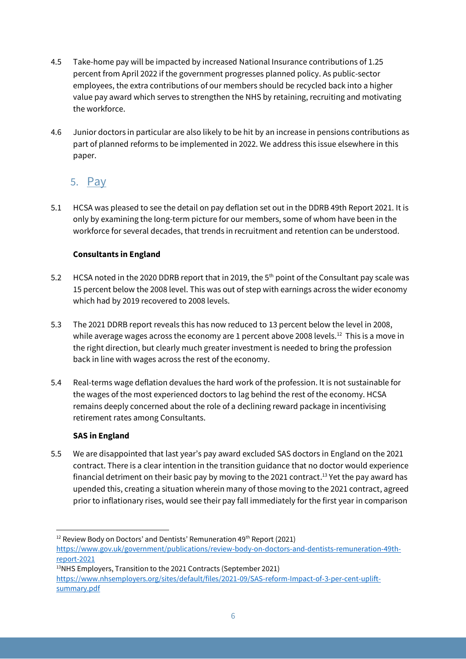- 4.5 Take-home pay will be impacted by increased National Insurance contributions of 1.25 percent from April 2022 if the government progresses planned policy. As public-sector employees, the extra contributions of our members should be recycled back into a higher value pay award which serves to strengthen the NHS by retaining, recruiting and motivating the workforce.
- 4.6 Junior doctors in particular are also likely to be hit by an increase in pensions contributions as part of planned reforms to be implemented in 2022. We address this issue elsewhere in this paper.

### 5. Pay

5.1 HCSA was pleased to see the detail on pay deflation set out in the DDRB 49th Report 2021. It is only by examining the long-term picture for our members, some of whom have been in the workforce for several decades, that trends in recruitment and retention can be understood.

### **Consultants in England**

- 5.2 HCSA noted in the 2020 DDRB report that in 2019, the 5<sup>th</sup> point of the Consultant pay scale was 15 percent below the 2008 level. This was out of step with earnings across the wider economy which had by 2019 recovered to 2008 levels.
- 5.3 The 2021 DDRB report reveals this has now reduced to 13 percent below the level in 2008, while average wages across the economy are 1 percent above 2008 levels.<sup>12</sup> This is a move in the right direction, but clearly much greater investment is needed to bring the profession back in line with wages across the rest of the economy.
- 5.4 Real-terms wage deflation devalues the hard work of the profession. It is not sustainable for the wages of the most experienced doctors to lag behind the rest of the economy. HCSA remains deeply concerned about the role of a declining reward package in incentivising retirement rates among Consultants.

### **SAS in England**

5.5 We are disappointed that last year's pay award excluded SAS doctors in England on the 2021 contract. There is a clear intention in the transition guidance that no doctor would experience financial detriment on their basic pay by moving to the 2021 contract. <sup>13</sup> Yet the pay award has upended this, creating a situation wherein many of those moving to the 2021 contract, agreed prior to inflationary rises, would see their pay fall immediately for the first year in comparison

 $12$  Review Body on Doctors' and Dentists' Remuneration 49<sup>th</sup> Report (2021)

[https://www.gov.uk/government/publications/review-body-on-doctors-and-dentists-remuneration-49th](https://www.gov.uk/government/publications/review-body-on-doctors-and-dentists-remuneration-49th-report-2021)[report-2021](https://www.gov.uk/government/publications/review-body-on-doctors-and-dentists-remuneration-49th-report-2021)

<sup>13</sup>NHS Employers, Transition to the 2021 Contracts (September 2021) [https://www.nhsemployers.org/sites/default/files/2021-09/SAS-reform-Impact-of-3-per-cent-uplift](https://www.nhsemployers.org/sites/default/files/2021-09/SAS-reform-Impact-of-3-per-cent-uplift-summary.pdf)[summary.pdf](https://www.nhsemployers.org/sites/default/files/2021-09/SAS-reform-Impact-of-3-per-cent-uplift-summary.pdf)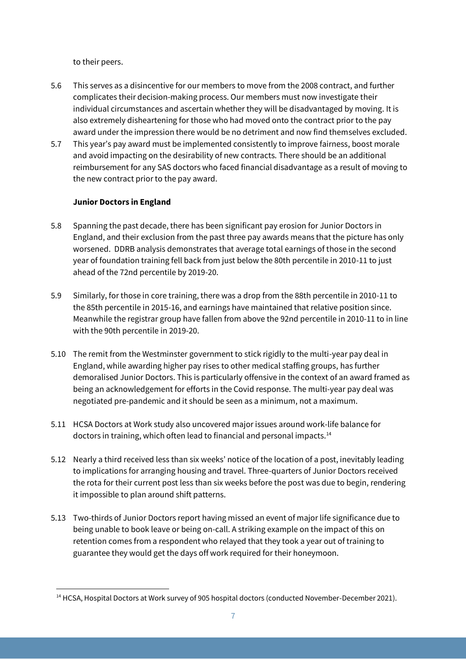to their peers.

- 5.6 This serves as a disincentive for our members to move from the 2008 contract, and further complicates their decision-making process. Our members must now investigate their individual circumstances and ascertain whether they will be disadvantaged by moving. It is also extremely disheartening for those who had moved onto the contract prior to the pay award under the impression there would be no detriment and now find themselves excluded.
- 5.7 This year's pay award must be implemented consistently to improve fairness, boost morale and avoid impacting on the desirability of new contracts. There should be an additional reimbursement for any SAS doctors who faced financial disadvantage as a result of moving to the new contract prior to the pay award.

#### **Junior Doctors in England**

- 5.8 Spanning the past decade, there has been significant pay erosion for Junior Doctors in England, and their exclusion from the past three pay awards means that the picture has only worsened. DDRB analysis demonstrates that average total earnings of those in the second year of foundation training fell back from just below the 80th percentile in 2010-11 to just ahead of the 72nd percentile by 2019-20.
- 5.9 Similarly, for those in core training, there was a drop from the 88th percentile in 2010-11 to the 85th percentile in 2015-16, and earnings have maintained that relative position since. Meanwhile the registrar group have fallen from above the 92nd percentile in 2010-11 to in line with the 90th percentile in 2019-20.
- 5.10 The remit from the Westminster government to stick rigidly to the multi-year pay deal in England, while awarding higher pay rises to other medical staffing groups, has further demoralised Junior Doctors. This is particularly offensive in the context of an award framed as being an acknowledgement for efforts in the Covid response. The multi-year pay deal was negotiated pre-pandemic and it should be seen as a minimum, not a maximum.
- 5.11 HCSA Doctors at Work study also uncovered major issues around work-life balance for doctors in training, which often lead to financial and personal impacts.<sup>14</sup>
- 5.12 Nearly a third received less than six weeks' notice of the location of a post, inevitably leading to implications for arranging housing and travel. Three-quarters of Junior Doctors received the rota for their current post less than six weeks before the post was due to begin, rendering it impossible to plan around shift patterns.
- 5.13 Two-thirds of Junior Doctors report having missed an event of major life significance due to being unable to book leave or being on-call. A striking example on the impact of this on retention comes from a respondent who relayed that they took a year out of training to guarantee they would get the days off work required for their honeymoon.

<sup>&</sup>lt;sup>14</sup> HCSA, Hospital Doctors at Work survey of 905 hospital doctors (conducted November-December 2021).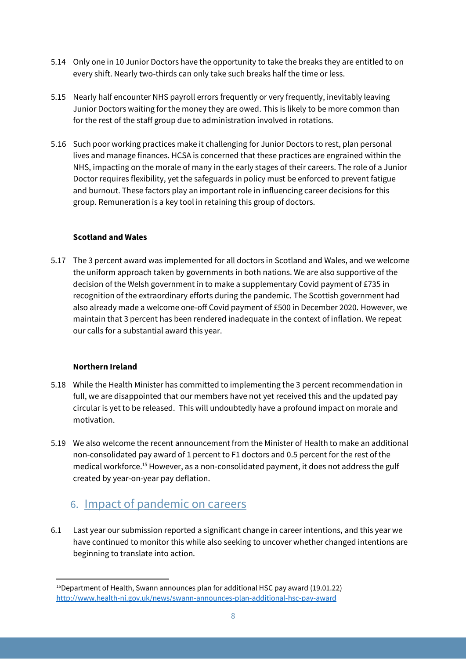- 5.14 Only one in 10 Junior Doctors have the opportunity to take the breaks they are entitled to on every shift. Nearly two-thirds can only take such breaks half the time or less.
- 5.15 Nearly half encounter NHS payroll errors frequently or very frequently, inevitably leaving Junior Doctors waiting for the money they are owed. This is likely to be more common than for the rest of the staff group due to administration involved in rotations.
- 5.16 Such poor working practices make it challenging for Junior Doctors to rest, plan personal lives and manage finances. HCSA is concerned that these practices are engrained within the NHS, impacting on the morale of many in the early stages of their careers. The role of a Junior Doctor requires flexibility, yet the safeguards in policy must be enforced to prevent fatigue and burnout. These factors play an important role in influencing career decisions for this group. Remuneration is a key tool in retaining this group of doctors.

#### **Scotland and Wales**

5.17 The 3 percent award was implemented for all doctors in Scotland and Wales, and we welcome the uniform approach taken by governments in both nations. We are also supportive of the decision of the Welsh government in to make a supplementary Covid payment of £735 in recognition of the extraordinary efforts during the pandemic. The Scottish government had also already made a welcome one-off Covid payment of £500 in December 2020. However, we maintain that 3 percent has been rendered inadequate in the context of inflation. We repeat our calls for a substantial award this year.

#### **Northern Ireland**

- 5.18 While the Health Minister has committed to implementing the 3 percent recommendation in full, we are disappointed that our members have not yet received this and the updated pay circular is yet to be released. This will undoubtedly have a profound impact on morale and motivation.
- 5.19 We also welcome the recent announcement from the Minister of Health to make an additional non-consolidated pay award of 1 percent to F1 doctors and 0.5 percent for the rest of the medical workforce. <sup>15</sup> However, as a non-consolidated payment, it does not address the gulf created by year-on-year pay deflation.

### 6. Impact of pandemic on careers

6.1 Last year our submission reported a significant change in career intentions, and this year we have continued to monitor this while also seeking to uncover whether changed intentions are beginning to translate into action.

 $15$ Department of Health, Swann announces plan for additional HSC pay award (19.01.22) <http://www.health-ni.gov.uk/news/swann-announces-plan-additional-hsc-pay-award>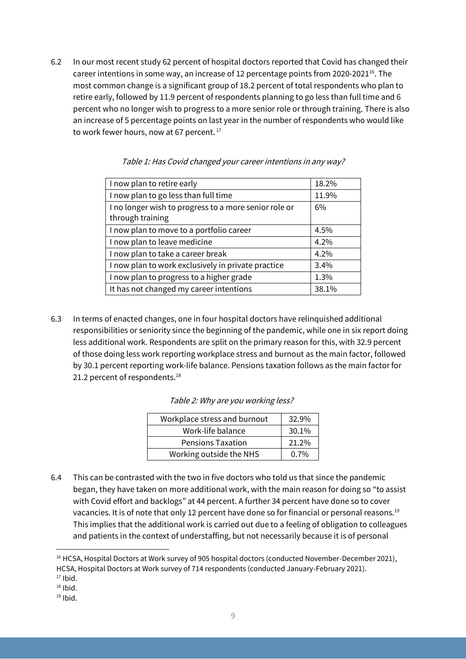6.2 In our most recent study 62 percent of hospital doctors reported that Covid has changed their career intentions in some way, an increase of 12 percentage points from 2020-2021<sup>16</sup>. The most common change is a significant group of 18.2 percent of total respondents who plan to retire early, followed by 11.9 percent of respondents planning to go less than full time and 6 percent who no longer wish to progress to a more senior role or through training. There is also an increase of 5 percentage points on last year in the number of respondents who would like to work fewer hours, now at 67 percent. 17

| I now plan to retire early                            | 18.2% |
|-------------------------------------------------------|-------|
| I now plan to go less than full time                  | 11.9% |
| I no longer wish to progress to a more senior role or | 6%    |
| through training                                      |       |
| I now plan to move to a portfolio career              | 4.5%  |
| I now plan to leave medicine                          | 4.2%  |
| I now plan to take a career break                     | 4.2%  |
| I now plan to work exclusively in private practice    | 3.4%  |
| I now plan to progress to a higher grade              | 1.3%  |
| It has not changed my career intentions               | 38.1% |
|                                                       |       |

#### Table 1: Has Covid changed your career intentions in any way?

6.3 In terms of enacted changes, one in four hospital doctors have relinquished additional responsibilities or seniority since the beginning of the pandemic, while one in six report doing less additional work. Respondents are split on the primary reason for this, with 32.9 percent of those doing less work reporting workplace stress and burnout as the main factor, followed by 30.1 percent reporting work-life balance. Pensions taxation follows as the main factor for 21.2 percent of respondents.<sup>18</sup>

| Workplace stress and burnout | 32.9%   |
|------------------------------|---------|
| Work-life balance            | 30.1%   |
| <b>Pensions Taxation</b>     | 21.2%   |
| Working outside the NHS      | $0.7\%$ |

6.4 This can be contrasted with the two in five doctors who told us that since the pandemic began, they have taken on more additional work, with the main reason for doing so "to assist with Covid effort and backlogs" at 44 percent. A further 34 percent have done so to cover vacancies. It is of note that only 12 percent have done so for financial or personal reasons.<sup>19</sup> This implies that the additional work is carried out due to a feeling of obligation to colleagues and patients in the context of understaffing, but not necessarily because it is of personal

<sup>&</sup>lt;sup>16</sup> HCSA, Hospital Doctors at Work survey of 905 hospital doctors (conducted November-December 2021), HCSA, Hospital Doctors at Work survey of 714 respondents (conducted January-February 2021). 17 Ibid.

 $18$  Ibid.

 $19$  Ibid.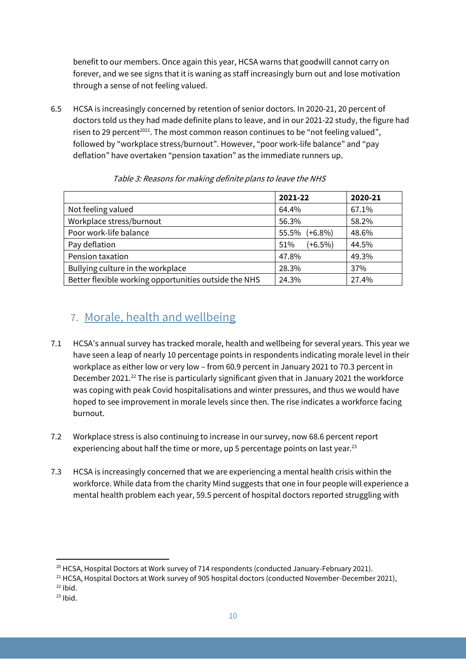benefit to our members. Once again this year, HCSA warns that goodwill cannot carry on forever, and we see signs that it is waning as staff increasingly burn out and lose motivation through a sense of not feeling valued.

6.5 HCSA is increasingly concerned by retention of senior doctors. In 2020-21, 20 percent of doctors told us they had made definite plans to leave, and in our 2021-22 study, the figure had risen to 29 percent<sup>2021</sup>. The most common reason continues to be "not feeling valued", followed by "workplace stress/burnout". However, "poor work-life balance" and "pay deflation" have overtaken "pension taxation" as the immediate runners up.

|                                                       | 2021-22             | 2020-21 |
|-------------------------------------------------------|---------------------|---------|
| Not feeling valued                                    | 64.4%               | 67.1%   |
| Workplace stress/burnout                              | 56.3%               | 58.2%   |
| Poor work-life balance                                | $(+6.8\%)$<br>55.5% | 48.6%   |
| Pay deflation                                         | $(+6.5%)$<br>51%    | 44.5%   |
| Pension taxation                                      | 47.8%               | 49.3%   |
| Bullying culture in the workplace                     | 28.3%               | 37%     |
| Better flexible working opportunities outside the NHS | 24.3%               | 27.4%   |

Table 3: Reasons for making definite plans to leave the NHS

### 7. Morale, health and wellbeing

- 7.1 HCSA's annual survey has tracked morale, health and wellbeing for several years. This year we have seen a leap of nearly 10 percentage points in respondents indicating morale level in their workplace as either low or very low – from 60.9 percent in January 2021 to 70.3 percent in December 2021.<sup>22</sup> The rise is particularly significant given that in January 2021 the workforce was coping with peak Covid hospitalisations and winter pressures, and thus we would have hoped to see improvement in morale levels since then. The rise indicates a workforce facing burnout.
- 7.2 Workplace stress is also continuing to increase in our survey, now 68.6 percent report experiencing about half the time or more, up 5 percentage points on last year.<sup>23</sup>
- 7.3 HCSA is increasingly concerned that we are experiencing a mental health crisis within the workforce. While data from the charity Mind suggests that one in four people will experience a mental health problem each year, 59.5 percent of hospital doctors reported struggling with

<sup>&</sup>lt;sup>20</sup> HCSA, Hospital Doctors at Work survey of 714 respondents (conducted January-February 2021).<br><sup>21</sup> HCSA, Hospital Doctors at Work survey of 905 hospital doctors (conducted November-December 2021),

 $22$  Ibid.

 $23$  Ibid.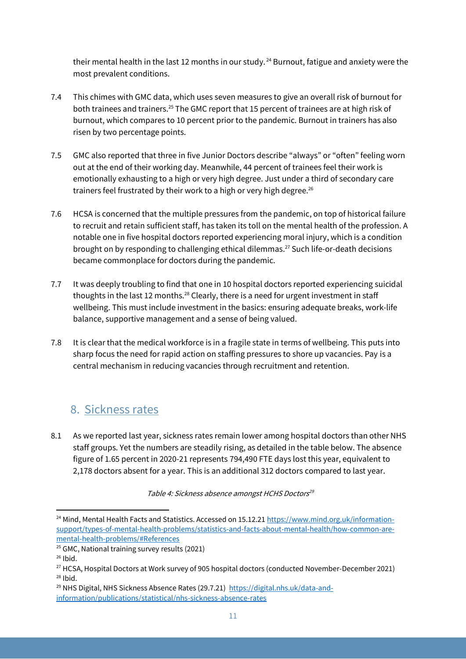their mental health in the last 12 months in our study.<sup>24</sup> Burnout, fatigue and anxiety were the most prevalent conditions.

- 7.4 This chimes with GMC data, which uses seven measures to give an overall risk of burnout for both trainees and trainers.<sup>25</sup> The GMC report that 15 percent of trainees are at high risk of burnout, which compares to 10 percent prior to the pandemic. Burnout in trainers has also risen by two percentage points.
- 7.5 GMC also reported that three in five Junior Doctors describe "always" or "often" feeling worn out at the end of their working day. Meanwhile, 44 percent of trainees feel their work is emotionally exhausting to a high or very high degree. Just under a third of secondary care trainers feel frustrated by their work to a high or very high degree.<sup>26</sup>
- 7.6 HCSA is concerned that the multiple pressures from the pandemic, on top of historical failure to recruit and retain sufficient staff, has taken its toll on the mental health of the profession. A notable one in five hospital doctors reported experiencing moral injury, which is a condition brought on by responding to challenging ethical dilemmas. <sup>27</sup> Such life-or-death decisions became commonplace for doctors during the pandemic.
- 7.7 It was deeply troubling to find that one in 10 hospital doctors reported experiencing suicidal thoughts in the last 12 months.28 Clearly, there is a need for urgent investment in staff wellbeing. This must include investment in the basics: ensuring adequate breaks, work-life balance, supportive management and a sense of being valued.
- 7.8 It is clear that the medical workforce is in a fragile state in terms of wellbeing. This puts into sharp focus the need for rapid action on staffing pressures to shore up vacancies. Pay is a central mechanism in reducing vacancies through recruitment and retention.

### 8. Sickness rates

8.1 As we reported last year, sickness rates remain lower among hospital doctors than other NHS staff groups. Yet the numbers are steadily rising, as detailed in the table below. The absence figure of 1.65 percent in 2020-21 represents 794,490 FTE days lost this year, equivalent to 2,178 doctors absent for a year. This is an additional 312 doctors compared to last year.

Table 4: Sickness absence amongst HCHS Doctors<sup>29</sup>

<sup>&</sup>lt;sup>24</sup> Mind, Mental Health Facts and Statistics. Accessed on 15.12.21 [https://www.mind.org.uk/information](https://www.mind.org.uk/information-support/types-of-mental-health-problems/statistics-and-facts-about-mental-health/how-common-are-mental-health-problems/#References)[support/types-of-mental-health-problems/statistics-and-facts-about-mental-health/how-common-are](https://www.mind.org.uk/information-support/types-of-mental-health-problems/statistics-and-facts-about-mental-health/how-common-are-mental-health-problems/#References)[mental-health-problems/#References](https://www.mind.org.uk/information-support/types-of-mental-health-problems/statistics-and-facts-about-mental-health/how-common-are-mental-health-problems/#References)

<sup>25</sup> GMC, National training survey results (2021)

 $26$  Ibid.

<sup>&</sup>lt;sup>27</sup> HCSA, Hospital Doctors at Work survey of 905 hospital doctors (conducted November-December 2021)  $28$  Ibid.

<sup>&</sup>lt;sup>29</sup> NHS Digital, NHS Sickness Absence Rates (29.7.21) [https://digital.nhs.uk/data-and](https://digital.nhs.uk/data-and-information/publications/statistical/nhs-sickness-absence-rates)[information/publications/statistical/nhs-sickness-absence-rates](https://digital.nhs.uk/data-and-information/publications/statistical/nhs-sickness-absence-rates)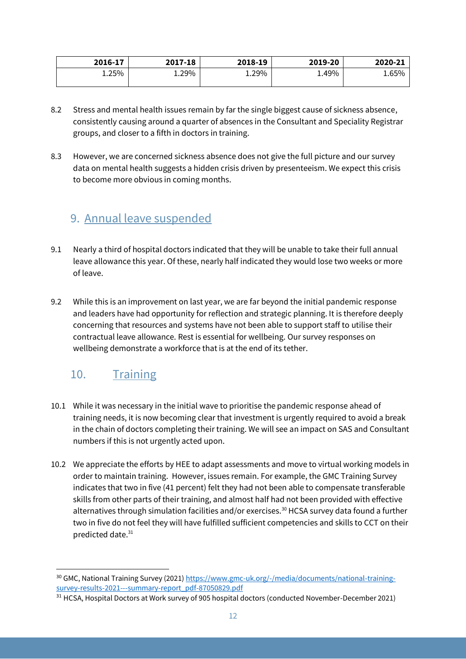| 2016-17 | 2017-18 | 2018-19 | 2019-20 | 2020-21 |
|---------|---------|---------|---------|---------|
| 1.25%   | 1.29%   | 1.29%   | 1.49%   | 1.65%   |

- 8.2 Stress and mental health issues remain by far the single biggest cause of sickness absence, consistently causing around a quarter of absences in the Consultant and Speciality Registrar groups, and closer to a fifth in doctors in training.
- 8.3 However, we are concerned sickness absence does not give the full picture and our survey data on mental health suggests a hidden crisis driven by presenteeism. We expect this crisis to become more obvious in coming months.

### 9. Annual leave suspended

- 9.1 Nearly a third of hospital doctors indicated that they will be unable to take their full annual leave allowance this year. Of these, nearly half indicated they would lose two weeks or more of leave.
- 9.2 While this is an improvement on last year, we are far beyond the initial pandemic response and leaders have had opportunity for reflection and strategic planning. It is therefore deeply concerning that resources and systems have not been able to support staff to utilise their contractual leave allowance. Rest is essential for wellbeing. Our survey responses on wellbeing demonstrate a workforce that is at the end of its tether.

### 10. Training

- 10.1 While it was necessary in the initial wave to prioritise the pandemic response ahead of training needs, it is now becoming clear that investment is urgently required to avoid a break in the chain of doctors completing their training. We will see an impact on SAS and Consultant numbers if this is not urgently acted upon.
- 10.2 We appreciate the efforts by HEE to adapt assessments and move to virtual working models in order to maintain training. However, issues remain. For example, the GMC Training Survey indicates that two in five (41 percent) felt they had not been able to compensate transferable skills from other parts of their training, and almost half had not been provided with effective alternatives through simulation facilities and/or exercises.<sup>30</sup> HCSA survey data found a further two in five do not feel they will have fulfilled sufficient competencies and skills to CCT on their predicted date.31

<sup>30</sup> GMC, National Training Survey (2021[\) https://www.gmc-uk.org/-/media/documents/national-training](https://www.gmc-uk.org/-/media/documents/national-training-survey-results-2021---summary-report_pdf-87050829.pdf)[survey-results-2021---summary-report\\_pdf-87050829.pdf](https://www.gmc-uk.org/-/media/documents/national-training-survey-results-2021---summary-report_pdf-87050829.pdf)

<sup>&</sup>lt;sup>31</sup> HCSA, Hospital Doctors at Work survey of 905 hospital doctors (conducted November-December 2021)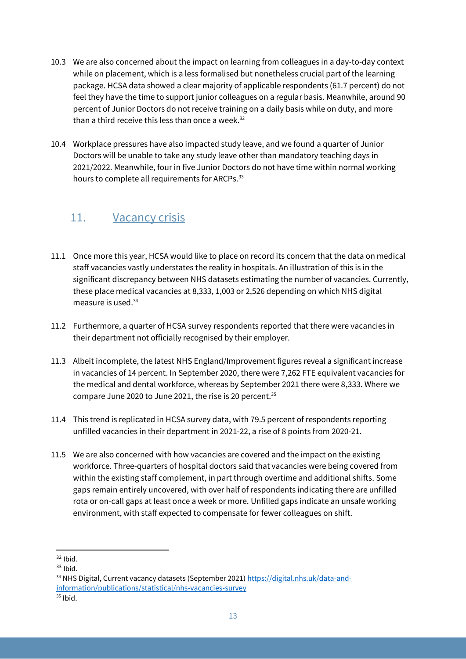- 10.3 We are also concerned about the impact on learning from colleagues in a day-to-day context while on placement, which is a less formalised but nonetheless crucial part of the learning package. HCSA data showed a clear majority of applicable respondents (61.7 percent) do not feel they have the time to support junior colleagues on a regular basis. Meanwhile, around 90 percent of Junior Doctors do not receive training on a daily basis while on duty, and more than a third receive this less than once a week. $32$
- 10.4 Workplace pressures have also impacted study leave, and we found a quarter of Junior Doctors will be unable to take any study leave other than mandatory teaching days in 2021/2022. Meanwhile, four in five Junior Doctors do not have time within normal working hours to complete all requirements for ARCPs.<sup>33</sup>

### 11. Vacancy crisis

- 11.1 Once more this year, HCSA would like to place on record its concern that the data on medical staff vacancies vastly understates the reality in hospitals. An illustration of this is in the significant discrepancy between NHS datasets estimating the number of vacancies. Currently, these place medical vacancies at 8,333, 1,003 or 2,526 depending on which NHS digital measure is used. 34
- 11.2 Furthermore, a quarter of HCSA survey respondents reported that there were vacancies in their department not officially recognised by their employer.
- 11.3 Albeit incomplete, the latest NHS England/Improvement figures reveal a significant increase in vacancies of 14 percent. In September 2020, there were 7,262 FTE equivalent vacancies for the medical and dental workforce, whereas by September 2021 there were 8,333. Where we compare June 2020 to June 2021, the rise is 20 percent. 35
- 11.4 This trend is replicated in HCSA survey data, with 79.5 percent of respondents reporting unfilled vacancies in their department in 2021-22, a rise of 8 points from 2020-21.
- 11.5 We are also concerned with how vacancies are covered and the impact on the existing workforce. Three-quarters of hospital doctors said that vacancies were being covered from within the existing staff complement, in part through overtime and additional shifts. Some gaps remain entirely uncovered, with over half of respondents indicating there are unfilled rota or on-call gaps at least once a week or more. Unfilled gaps indicate an unsafe working environment, with staff expected to compensate for fewer colleagues on shift.

 $32$  Ibid.

 $33$  Ibid.

<sup>34</sup> NHS Digital, Current vacancy datasets (September 2021) [https://digital.nhs.uk/data-and](https://digital.nhs.uk/data-and-information/publications/statistical/nhs-vacancies-survey)[information/publications/statistical/nhs-vacancies-survey](https://digital.nhs.uk/data-and-information/publications/statistical/nhs-vacancies-survey)

 $35$  Ibid.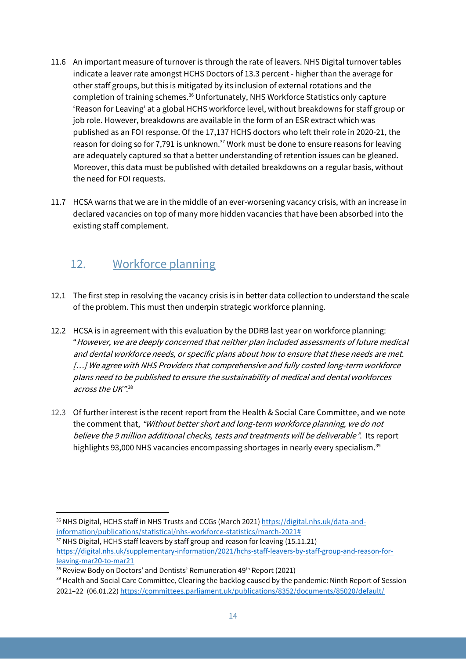- 11.6 An important measure of turnover is through the rate of leavers. NHS Digital turnover tables indicate a leaver rate amongst HCHS Doctors of 13.3 percent - higher than the average for other staff groups, but this is mitigated by its inclusion of external rotations and the completion of training schemes.<sup>36</sup> Unfortunately, NHS Workforce Statistics only capture 'Reason for Leaving' at a global HCHS workforce level, without breakdowns for staff group or job role. However, breakdowns are available in the form of an ESR extract which was published as an FOI response. Of the 17,137 HCHS doctors who left their role in 2020-21, the reason for doing so for 7,791 is unknown.<sup>37</sup> Work must be done to ensure reasons for leaving are adequately captured so that a better understanding of retention issues can be gleaned. Moreover, this data must be published with detailed breakdowns on a regular basis, without the need for FOI requests.
- 11.7 HCSA warns that we are in the middle of an ever-worsening vacancy crisis, with an increase in declared vacancies on top of many more hidden vacancies that have been absorbed into the existing staff complement.

### 12. Workforce planning

- 12.1 The first step in resolving the vacancy crisis is in better data collection to understand the scale of the problem. This must then underpin strategic workforce planning.
- 12.2 HCSA is in agreement with this evaluation by the DDRB last year on workforce planning: "However, we are deeply concerned that neither plan included assessments of future medical and dental workforce needs, or specific plans about how to ensure that these needs are met. [...] We agree with NHS Providers that comprehensive and fully costed long-term workforce plans need to be published to ensure the sustainability of medical and dental workforces across the UK".38
- 12.3 Of further interest is the recent report from the Health & Social Care Committee, and we note the comment that, "Without better short and long-term workforce planning, we do not believe the 9 million additional checks, tests and treatments will be deliverable". Its report highlights 93,000 NHS vacancies encompassing shortages in nearly every specialism.<sup>39</sup>

<sup>36</sup> NHS Digital, HCHS staff in NHS Trusts and CCGs (March 2021) [https://digital.nhs.uk/data-and](https://digital.nhs.uk/data-and-information/publications/statistical/nhs-workforce-statistics/march-2021)[information/publications/statistical/nhs-workforce-statistics/march-2021#](https://digital.nhs.uk/data-and-information/publications/statistical/nhs-workforce-statistics/march-2021)

 $37$  NHS Digital, HCHS staff leavers by staff group and reason for leaving (15.11.21) [https://digital.nhs.uk/supplementary-information/2021/hchs-staff-leavers-by-staff-group-and-reason-for](https://digital.nhs.uk/supplementary-information/2021/hchs-staff-leavers-by-staff-group-and-reason-for-leaving-mar20-to-mar21)[leaving-mar20-to-mar21](https://digital.nhs.uk/supplementary-information/2021/hchs-staff-leavers-by-staff-group-and-reason-for-leaving-mar20-to-mar21)

<sup>&</sup>lt;sup>38</sup> Review Body on Doctors' and Dentists' Remuneration 49<sup>th</sup> Report (2021)<br><sup>39</sup> Health and Social Care Committee, Clearing the backlog caused by the pandemic: Ninth Report of Session 2021–22 (06.01.22) <https://committees.parliament.uk/publications/8352/documents/85020/default/>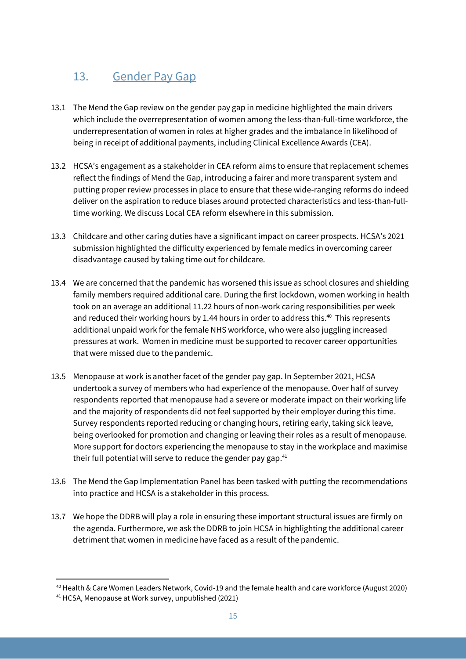## 13. Gender Pay Gap

- 13.1 The Mend the Gap review on the gender pay gap in medicine highlighted the main drivers which include the overrepresentation of women among the less-than-full-time workforce, the underrepresentation of women in roles at higher grades and the imbalance in likelihood of being in receipt of additional payments, including Clinical Excellence Awards (CEA).
- 13.2 HCSA's engagement as a stakeholder in CEA reform aims to ensure that replacement schemes reflect the findings of Mend the Gap, introducing a fairer and more transparent system and putting proper review processes in place to ensure that these wide-ranging reforms do indeed deliver on the aspiration to reduce biases around protected characteristics and less-than-fulltime working. We discuss Local CEA reform elsewhere in this submission.
- 13.3 Childcare and other caring duties have a significant impact on career prospects. HCSA's 2021 submission highlighted the difficulty experienced by female medics in overcoming career disadvantage caused by taking time out for childcare.
- 13.4 We are concerned that the pandemic has worsened this issue as school closures and shielding family members required additional care. During the first lockdown, women working in health took on an average an additional 11.22 hours of non-work caring responsibilities per week and reduced their working hours by 1.44 hours in order to address this. 40 This represents additional unpaid work for the female NHS workforce, who were also juggling increased pressures at work. Women in medicine must be supported to recover career opportunities that were missed due to the pandemic.
- 13.5 Menopause at work is another facet of the gender pay gap. In September 2021, HCSA undertook a survey of members who had experience of the menopause. Over half of survey respondents reported that menopause had a severe or moderate impact on their working life and the majority of respondents did not feel supported by their employer during this time. Survey respondents reported reducing or changing hours, retiring early, taking sick leave, being overlooked for promotion and changing or leaving their roles as a result of menopause. More support for doctors experiencing the menopause to stay in the workplace and maximise their full potential will serve to reduce the gender pay gap. $41$
- 13.6 The Mend the Gap Implementation Panel has been tasked with putting the recommendations into practice and HCSA is a stakeholder in this process.
- 13.7 We hope the DDRB will play a role in ensuring these important structural issues are firmly on the agenda. Furthermore, we ask the DDRB to join HCSA in highlighting the additional career detriment that women in medicine have faced as a result of the pandemic.

<sup>40</sup> Health & Care Women Leaders Network, Covid-19 and the female health and care workforce (August 2020)

<sup>41</sup> HCSA, Menopause at Work survey, unpublished (2021)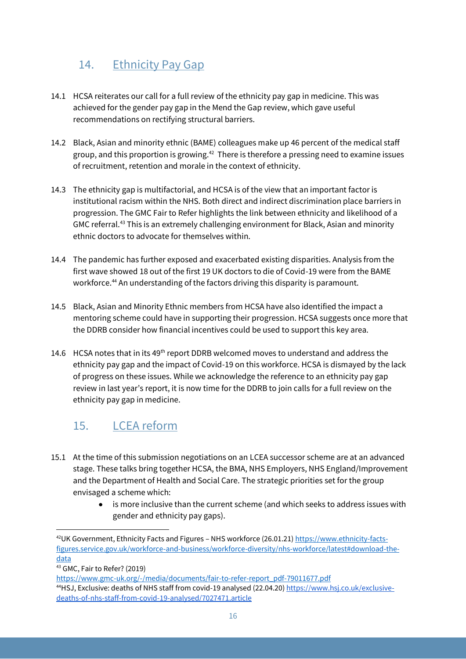### 14. Ethnicity Pay Gap

- 14.1 HCSA reiterates our call for a full review of the ethnicity pay gap in medicine. This was achieved for the gender pay gap in the Mend the Gap review, which gave useful recommendations on rectifying structural barriers.
- 14.2 Black, Asian and minority ethnic (BAME) colleagues make up 46 percent of the medical staff group, and this proportion is growing.<sup>42</sup> There is therefore a pressing need to examine issues of recruitment, retention and morale in the context of ethnicity.
- 14.3 The ethnicity gap is multifactorial, and HCSA is of the view that an important factor is institutional racism within the NHS. Both direct and indirect discrimination place barriers in progression. The GMC Fair to Refer highlights the link between ethnicity and likelihood of a GMC referral.<sup>43</sup> This is an extremely challenging environment for Black, Asian and minority ethnic doctors to advocate for themselves within.
- 14.4 The pandemic has further exposed and exacerbated existing disparities. Analysis from the first wave showed 18 out of the first 19 UK doctors to die of Covid-19 were from the BAME workforce. <sup>44</sup> An understanding of the factors driving this disparity is paramount.
- 14.5 Black, Asian and Minority Ethnic members from HCSA have also identified the impact a mentoring scheme could have in supporting their progression. HCSA suggests once more that the DDRB consider how financial incentives could be used to support this key area.
- 14.6 HCSA notes that in its 49<sup>th</sup> report DDRB welcomed moves to understand and address the ethnicity pay gap and the impact of Covid-19 on this workforce. HCSA is dismayed by the lack of progress on these issues. While we acknowledge the reference to an ethnicity pay gap review in last year's report, it is now time for the DDRB to join calls for a full review on the ethnicity pay gap in medicine.

### 15. LCEA reform

- 15.1 At the time of this submission negotiations on an LCEA successor scheme are at an advanced stage. These talks bring together HCSA, the BMA, NHS Employers, NHS England/Improvement and the Department of Health and Social Care. The strategic priorities set for the group envisaged a scheme which:
	- is more inclusive than the current scheme (and which seeks to address issues with gender and ethnicity pay gaps).

<sup>&</sup>lt;sup>42</sup>UK Government, Ethnicity Facts and Figures - NHS workforce (26.01.21[\) https://www.ethnicity-facts](https://www.ethnicity-facts-figures.service.gov.uk/workforce-and-business/workforce-diversity/nhs-workforce/latest#download-the-data)[figures.service.gov.uk/workforce-and-business/workforce-diversity/nhs-workforce/latest#download-the](https://www.ethnicity-facts-figures.service.gov.uk/workforce-and-business/workforce-diversity/nhs-workforce/latest#download-the-data)[data](https://www.ethnicity-facts-figures.service.gov.uk/workforce-and-business/workforce-diversity/nhs-workforce/latest#download-the-data)

<sup>43</sup> GMC, Fair to Refer? (2019)

[https://www.gmc-uk.org/-/media/documents/fair-to-refer-report\\_pdf-79011677.pdf](https://www.gmc-uk.org/-/media/documents/fair-to-refer-report_pdf-79011677.pdf) 44HSJ, Exclusive: deaths of NHS staff from covid-19 analysed (22.04.20) [https://www.hsj.co.uk/exclusive](https://www.hsj.co.uk/exclusive-deaths-of-nhs-staff-from-covid-19-analysed/7027471.article)[deaths-of-nhs-staff-from-covid-19-analysed/7027471.article](https://www.hsj.co.uk/exclusive-deaths-of-nhs-staff-from-covid-19-analysed/7027471.article)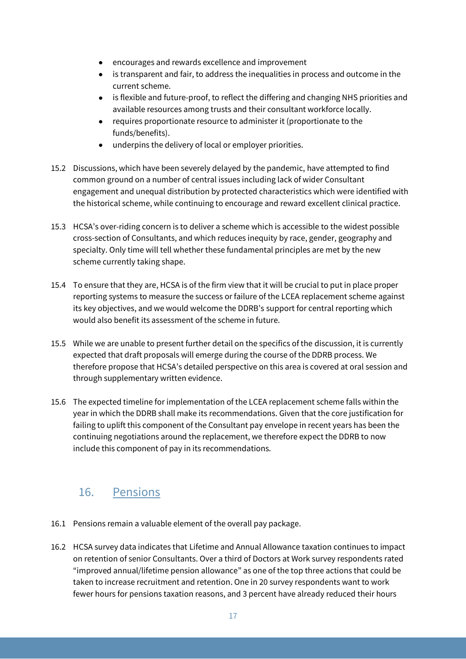- encourages and rewards excellence and improvement
- $\bullet$  is transparent and fair, to address the inequalities in process and outcome in the current scheme.
- is flexible and future-proof, to reflect the differing and changing NHS priorities and available resources among trusts and their consultant workforce locally.
- requires proportionate resource to administer it (proportionate to the funds/benefits).
- underpins the delivery of local or employer priorities.
- 15.2 Discussions, which have been severely delayed by the pandemic, have attempted to find common ground on a number of central issues including lack of wider Consultant engagement and unequal distribution by protected characteristics which were identified with the historical scheme, while continuing to encourage and reward excellent clinical practice.
- 15.3 HCSA's over-riding concern is to deliver a scheme which is accessible to the widest possible cross-section of Consultants, and which reduces inequity by race, gender, geography and specialty. Only time will tell whether these fundamental principles are met by the new scheme currently taking shape.
- 15.4 To ensure that they are, HCSA is of the firm view that it will be crucial to put in place proper reporting systems to measure the success or failure of the LCEA replacement scheme against its key objectives, and we would welcome the DDRB's support for central reporting which would also benefit its assessment of the scheme in future.
- 15.5 While we are unable to present further detail on the specifics of the discussion, it is currently expected that draft proposals will emerge during the course of the DDRB process. We therefore propose that HCSA's detailed perspective on this area is covered at oral session and through supplementary written evidence.
- 15.6 The expected timeline for implementation of the LCEA replacement scheme falls within the year in which the DDRB shall make its recommendations. Given that the core justification for failing to uplift this component of the Consultant pay envelope in recent years has been the continuing negotiations around the replacement, we therefore expect the DDRB to now include this component of pay in its recommendations.

### 16. Pensions

- 16.1 Pensions remain a valuable element of the overall pay package.
- 16.2 HCSA survey data indicates that Lifetime and Annual Allowance taxation continues to impact on retention of senior Consultants. Over a third of Doctors at Work survey respondents rated "improved annual/lifetime pension allowance" as one of the top three actions that could be taken to increase recruitment and retention. One in 20 survey respondents want to work fewer hours for pensions taxation reasons, and 3 percent have already reduced their hours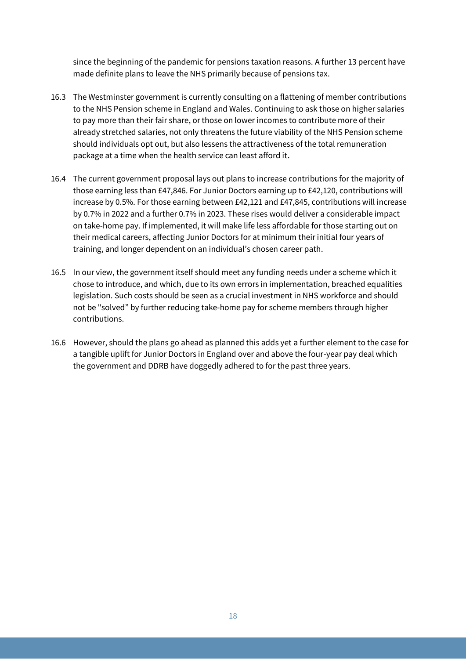since the beginning of the pandemic for pensions taxation reasons. A further 13 percent have made definite plans to leave the NHS primarily because of pensions tax.

- 16.3 The Westminster government is currently consulting on a flattening of member contributions to the NHS Pension scheme in England and Wales. Continuing to ask those on higher salaries to pay more than their fair share, or those on lower incomes to contribute more of their already stretched salaries, not only threatens the future viability of the NHS Pension scheme should individuals opt out, but also lessens the attractiveness of the total remuneration package at a time when the health service can least afford it.
- 16.4 The current government proposal lays out plans to increase contributions for the majority of those earning less than £47,846. For Junior Doctors earning up to £42,120, contributions will increase by 0.5%. For those earning between £42,121 and £47,845, contributions will increase by 0.7% in 2022 and a further 0.7% in 2023. These rises would deliver a considerable impact on take-home pay. If implemented, it will make life less affordable for those starting out on their medical careers, affecting Junior Doctors for at minimum their initial four years of training, and longer dependent on an individual's chosen career path.
- 16.5 In our view, the government itself should meet any funding needs under a scheme which it chose to introduce, and which, due to its own errors in implementation, breached equalities legislation. Such costs should be seen as a crucial investment in NHS workforce and should not be "solved" by further reducing take-home pay for scheme members through higher contributions.
- 16.6 However, should the plans go ahead as planned this adds yet a further element to the case for a tangible uplift for Junior Doctors in England over and above the four-year pay deal which the government and DDRB have doggedly adhered to for the past three years.